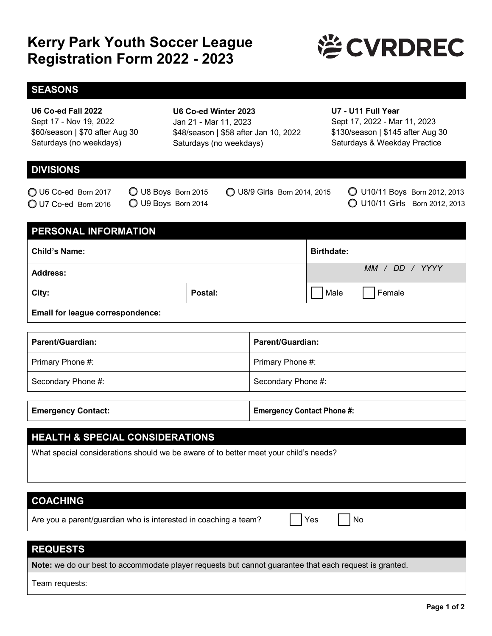# **Kerry Park Youth Soccer League Registration Form 2022 - 2023**



### **SEASONS**

#### **U6 Co-ed Fall 2022**

Sept 17 - Nov 19, 2022 \$60/season | \$70 after Aug 30 Saturdays (no weekdays)

### **U6 Co-ed Winter 2023** Jan 21 - Mar 11, 2023 \$48/season | \$58 after Jan 10, 2022 Saturdays (no weekdays)

#### **U7 - U11 Full Year**

Sept 17, 2022 - Mar 11, 2023 \$130/season | \$145 after Aug 30 Saturdays & Weekday Practice

# **DIVISIONS**

O U6 Co-ed Born 2017 U7 Co-ed Born 2016

U8 Boys Born 2015 U9 Boys Born 2014

U8/9 Girls Born 2014, 2015

U10/11 Boys Born 2012, 2013 U10/11 Girls Born 2012, 2013

### **PERSONAL INFORMATION**

| <b>Child's Name:</b> |         | <b>Birthdate:</b> |                |
|----------------------|---------|-------------------|----------------|
| <b>Address:</b>      |         |                   | MM / DD / YYYY |
| City:                | Postal: | Male              | Female         |
|                      |         |                   |                |

**Email for league correspondence:** 

| <b>Parent/Guardian:</b> | <b>Parent/Guardian:</b> |
|-------------------------|-------------------------|
| Primary Phone #:        | Primary Phone #:        |
| Secondary Phone #:      | Secondary Phone #:      |

| <b>Emergency Contact Phone #:</b><br><b>Emergency Contact:</b> |
|----------------------------------------------------------------|
|----------------------------------------------------------------|

### **HEALTH & SPECIAL CONSIDERATIONS**

What special considerations should we be aware of to better meet your child's needs?

# **COACHING**

Are you a parent/guardian who is interested in coaching a team?  $\vert \vert$  Yes  $\vert \vert$  No

# **REQUESTS**

**Note:** we do our best to accommodate player requests but cannot guarantee that each request is granted.

Team requests: